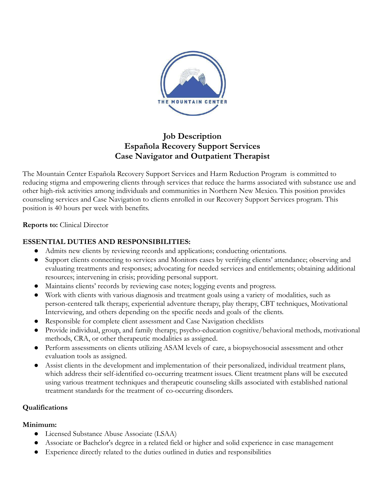

# **Job Description Española Recovery Support Services Case Navigator and Outpatient Therapist**

The Mountain Center Española Recovery Support Services and Harm Reduction Program is committed to reducing stigma and empowering clients through services that reduce the harms associated with substance use and other high-risk activities among individuals and communities in Northern New Mexico. This position provides counseling services and Case Navigation to clients enrolled in our Recovery Support Services program. This position is 40 hours per week with benefits.

#### **Reports to:** Clinical Director

### **ESSENTIAL DUTIES AND RESPONSIBILITIES:**

- Admits new clients by reviewing records and applications; conducting orientations.
- Support clients connecting to services and Monitors cases by verifying clients' attendance; observing and evaluating treatments and responses; advocating for needed services and entitlements; obtaining additional resources; intervening in crisis; providing personal support.
- Maintains clients' records by reviewing case notes; logging events and progress.
- Work with clients with various diagnosis and treatment goals using a variety of modalities, such as person-centered talk therapy, experiential adventure therapy, play therapy, CBT techniques, Motivational Interviewing, and others depending on the specific needs and goals of the clients.
- Responsible for complete client assessment and Case Navigation checklists
- Provide individual, group, and family therapy, psycho-education cognitive/behavioral methods, motivational methods, CRA, or other therapeutic modalities as assigned.
- Perform assessments on clients utilizing ASAM levels of care, a biopsychosocial assessment and other evaluation tools as assigned.
- Assist clients in the development and implementation of their personalized, individual treatment plans, which address their self-identified co-occurring treatment issues. Client treatment plans will be executed using various treatment techniques and therapeutic counseling skills associated with established national treatment standards for the treatment of co-occurring disorders.

#### **Qualifications**

#### **Minimum:**

- Licensed Substance Abuse Associate (LSAA)
- Associate or Bachelor's degree in a related field or higher and solid experience in case management
- Experience directly related to the duties outlined in duties and responsibilities